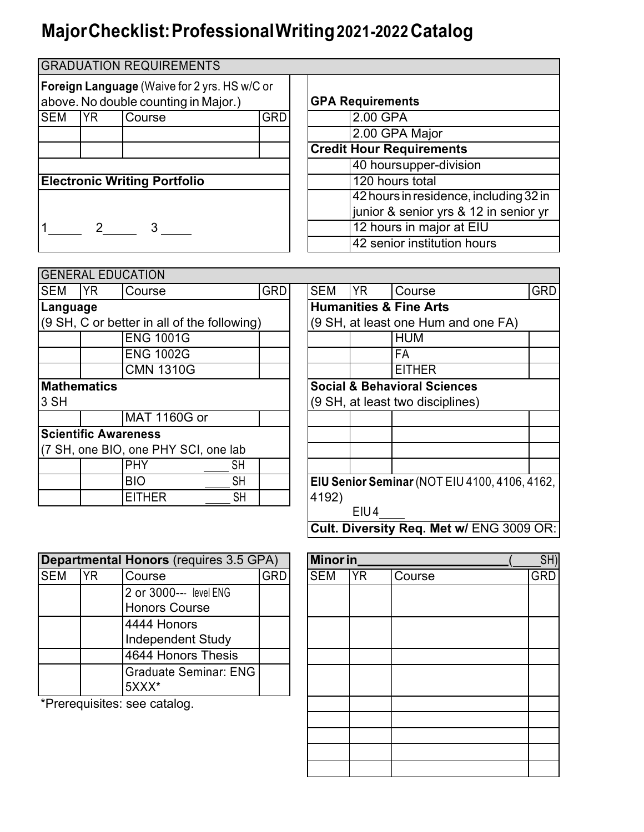## **MajorChecklist:ProfessionalWriting2021-2022Catalog**

|                                                                                             |           | <b>GRADUATION REQUIREMENTS</b> |            |                                        |  |
|---------------------------------------------------------------------------------------------|-----------|--------------------------------|------------|----------------------------------------|--|
|                                                                                             |           |                                |            |                                        |  |
| <b>Foreign Language</b> (Waive for 2 yrs. HS w/C or<br>above. No double counting in Major.) |           |                                |            | <b>GPA Requirements</b>                |  |
| <b>SEM</b>                                                                                  | <b>YR</b> | Course                         | <b>GRD</b> | 2.00 GPA                               |  |
|                                                                                             |           |                                |            | 2.00 GPA Major                         |  |
|                                                                                             |           |                                |            | <b>Credit Hour Requirements</b>        |  |
|                                                                                             |           |                                |            | 40 hoursupper-division                 |  |
| <b>Electronic Writing Portfolio</b>                                                         |           |                                |            | 120 hours total                        |  |
|                                                                                             |           |                                |            | 42 hours in residence, including 32 in |  |
|                                                                                             |           |                                |            | junior & senior yrs & 12 in senior yr  |  |
|                                                                                             |           | 3                              |            | 12 hours in major at EIU               |  |
|                                                                                             |           |                                |            | 42 senior institution hours            |  |

|            |                    | <b>GENERAL EDUCATION</b>                    |            |  |                                         |           |                                               |            |  |
|------------|--------------------|---------------------------------------------|------------|--|-----------------------------------------|-----------|-----------------------------------------------|------------|--|
| <b>SEM</b> | <b>YR</b>          | Course                                      | <b>GRD</b> |  | <b>SEM</b>                              | <b>YR</b> | Course                                        | <b>GRD</b> |  |
| Language   |                    |                                             |            |  | <b>Humanities &amp; Fine Arts</b>       |           |                                               |            |  |
|            |                    | (9 SH, C or better in all of the following) |            |  |                                         |           | (9 SH, at least one Hum and one FA)           |            |  |
|            |                    | <b>ENG 1001G</b>                            |            |  |                                         |           | <b>HUM</b>                                    |            |  |
|            |                    | <b>ENG 1002G</b>                            |            |  |                                         |           | <b>FA</b>                                     |            |  |
|            |                    | <b>CMN 1310G</b>                            |            |  |                                         |           | <b>EITHER</b>                                 |            |  |
|            | <b>Mathematics</b> |                                             |            |  | <b>Social &amp; Behavioral Sciences</b> |           |                                               |            |  |
| 3 SH       |                    |                                             |            |  |                                         |           | (9 SH, at least two disciplines)              |            |  |
|            |                    | MAT 1160G or                                |            |  |                                         |           |                                               |            |  |
|            |                    | <b>Scientific Awareness</b>                 |            |  |                                         |           |                                               |            |  |
|            |                    | (7 SH, one BIO, one PHY SCI, one lab        |            |  |                                         |           |                                               |            |  |
|            |                    | PHY<br>SH                                   |            |  |                                         |           |                                               |            |  |
|            |                    | <b>BIO</b><br>SH                            |            |  |                                         |           | EIU Senior Seminar (NOT EIU 4100, 4106, 4162, |            |  |
|            |                    | <b>EITHER</b><br>SH                         |            |  | 4192)                                   |           |                                               |            |  |
|            |                    |                                             |            |  |                                         | EIU4      |                                               |            |  |

**Cult. Diversity Req. Met w/** ENG 3009 OR:

| Departmental Honors (requires 3.5 GPA) |    |                              |  |  |
|----------------------------------------|----|------------------------------|--|--|
| <b>SEM</b>                             | YR | Course                       |  |  |
|                                        |    | 2 or 3000--- level ENG       |  |  |
|                                        |    | <b>Honors Course</b>         |  |  |
|                                        |    | 4444 Honors                  |  |  |
|                                        |    | <b>Independent Study</b>     |  |  |
|                                        |    | 4644 Honors Thesis           |  |  |
|                                        |    | <b>Graduate Seminar: ENG</b> |  |  |
|                                        |    | $5XXX*$                      |  |  |

\*Prerequisites: see catalog.

| Minor in_  |           |        |            |  |
|------------|-----------|--------|------------|--|
| <b>SEM</b> | <b>YR</b> | Course | <b>GRD</b> |  |
|            |           |        |            |  |
|            |           |        |            |  |
|            |           |        |            |  |
|            |           |        |            |  |
|            |           |        |            |  |
|            |           |        |            |  |
|            |           |        |            |  |
|            |           |        |            |  |
|            |           |        |            |  |
|            |           |        |            |  |
|            |           |        |            |  |
|            |           |        |            |  |